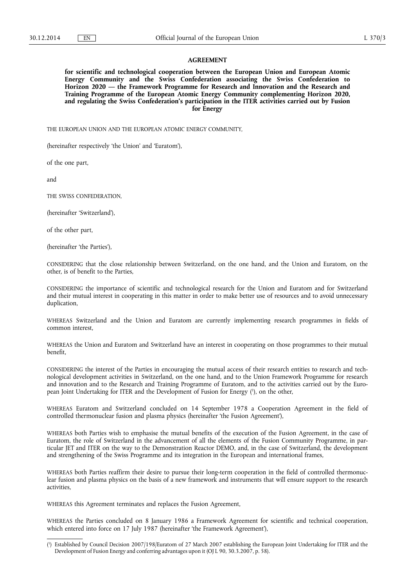### **AGREEMENT**

**for scientific and technological cooperation between the European Union and European Atomic Energy Community and the Swiss Confederation associating the Swiss Confederation to Horizon 2020 — the Framework Programme for Research and Innovation and the Research and Training Programme of the European Atomic Energy Community complementing Horizon 2020, and regulating the Swiss Confederation's participation in the ITER activities carried out by Fusion for Energy** 

THE EUROPEAN UNION AND THE EUROPEAN ATOMIC ENERGY COMMUNITY,

(hereinafter respectively 'the Union' and 'Euratom'),

of the one part,

and

THE SWISS CONFEDERATION,

(hereinafter 'Switzerland'),

of the other part,

(hereinafter 'the Parties'),

CONSIDERING that the close relationship between Switzerland, on the one hand, and the Union and Euratom, on the other, is of benefit to the Parties,

CONSIDERING the importance of scientific and technological research for the Union and Euratom and for Switzerland and their mutual interest in cooperating in this matter in order to make better use of resources and to avoid unnecessary duplication,

WHEREAS Switzerland and the Union and Euratom are currently implementing research programmes in fields of common interest,

WHEREAS the Union and Euratom and Switzerland have an interest in cooperating on those programmes to their mutual benefit,

CONSIDERING the interest of the Parties in encouraging the mutual access of their research entities to research and technological development activities in Switzerland, on the one hand, and to the Union Framework Programme for research and innovation and to the Research and Training Programme of Euratom, and to the activities carried out by the European Joint Undertaking for ITER and the Development of Fusion for Energy ( 1 ), on the other,

WHEREAS Euratom and Switzerland concluded on 14 September 1978 a Cooperation Agreement in the field of controlled thermonuclear fusion and plasma physics (hereinafter 'the Fusion Agreement'),

WHEREAS both Parties wish to emphasise the mutual benefits of the execution of the Fusion Agreement, in the case of Euratom, the role of Switzerland in the advancement of all the elements of the Fusion Community Programme, in particular JET and ITER on the way to the Demonstration Reactor DEMO, and, in the case of Switzerland, the development and strengthening of the Swiss Programme and its integration in the European and international frames,

WHEREAS both Parties reaffirm their desire to pursue their long-term cooperation in the field of controlled thermonuclear fusion and plasma physics on the basis of a new framework and instruments that will ensure support to the research activities,

WHEREAS this Agreement terminates and replaces the Fusion Agreement,

WHEREAS the Parties concluded on 8 January 1986 a Framework Agreement for scientific and technical cooperation, which entered into force on 17 July 1987 (hereinafter 'the Framework Agreement'),

<sup>(</sup> 1 ) Established by Council Decision 2007/198/Euratom of 27 March 2007 establishing the European Joint Undertaking for ITER and the Development of Fusion Energy and conferring advantages upon it (OJ L 90, 30.3.2007, p. 58).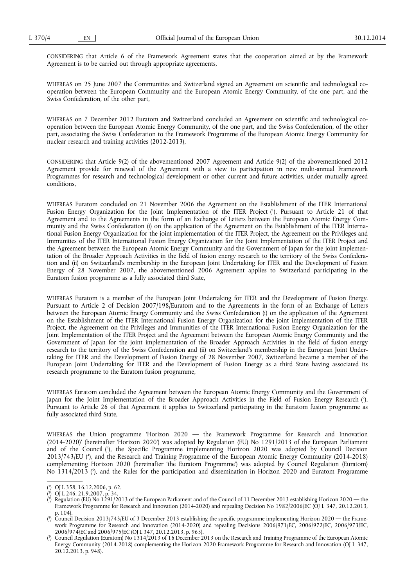CONSIDERING that Article 6 of the Framework Agreement states that the cooperation aimed at by the Framework Agreement is to be carried out through appropriate agreements,

WHEREAS on 25 June 2007 the Communities and Switzerland signed an Agreement on scientific and technological cooperation between the European Community and the European Atomic Energy Community, of the one part, and the Swiss Confederation, of the other part,

WHEREAS on 7 December 2012 Euratom and Switzerland concluded an Agreement on scientific and technological cooperation between the European Atomic Energy Community, of the one part, and the Swiss Confederation, of the other part, associating the Swiss Confederation to the Framework Programme of the European Atomic Energy Community for nuclear research and training activities (2012-2013),

CONSIDERING that Article 9(2) of the abovementioned 2007 Agreement and Article 9(2) of the abovementioned 2012 Agreement provide for renewal of the Agreement with a view to participation in new multi-annual Framework Programmes for research and technological development or other current and future activities, under mutually agreed conditions,

WHEREAS Euratom concluded on 21 November 2006 the Agreement on the Establishment of the ITER International Fusion Energy Organization for the Joint Implementation of the ITER Project ( 1 ). Pursuant to Article 21 of that Agreement and to the Agreements in the form of an Exchange of Letters between the European Atomic Energy Community and the Swiss Confederation (i) on the application of the Agreement on the Establishment of the ITER International Fusion Energy Organization for the joint implementation of the ITER Project, the Agreement on the Privileges and Immunities of the ITER International Fusion Energy Organization for the Joint Implementation of the ITER Project and the Agreement between the European Atomic Energy Community and the Government of Japan for the joint implementation of the Broader Approach Activities in the field of fusion energy research to the territory of the Swiss Confederation and (ii) on Switzerland's membership in the European Joint Undertaking for ITER and the Development of Fusion Energy of 28 November 2007, the abovementioned 2006 Agreement applies to Switzerland participating in the Euratom fusion programme as a fully associated third State,

WHEREAS Euratom is a member of the European Joint Undertaking for ITER and the Development of Fusion Energy. Pursuant to Article 2 of Decision 2007/198/Euratom and to the Agreements in the form of an Exchange of Letters between the European Atomic Energy Community and the Swiss Confederation (i) on the application of the Agreement on the Establishment of the ITER International Fusion Energy Organization for the joint implementation of the ITER Project, the Agreement on the Privileges and Immunities of the ITER International Fusion Energy Organization for the Joint Implementation of the ITER Project and the Agreement between the European Atomic Energy Community and the Government of Japan for the joint implementation of the Broader Approach Activities in the field of fusion energy research to the territory of the Swiss Confederation and (ii) on Switzerland's membership in the European Joint Undertaking for ITER and the Development of Fusion Energy of 28 November 2007, Switzerland became a member of the European Joint Undertaking for ITER and the Development of Fusion Energy as a third State having associated its research programme to the Euratom fusion programme,

WHEREAS Euratom concluded the Agreement between the European Atomic Energy Community and the Government of Japan for the Joint Implementation of the Broader Approach Activities in the Field of Fusion Energy Research ( 2 ). Pursuant to Article 26 of that Agreement it applies to Switzerland participating in the Euratom fusion programme as fully associated third State,

WHEREAS the Union programme 'Horizon 2020 — the Framework Programme for Research and Innovation (2014-2020)' (hereinafter 'Horizon 2020') was adopted by Regulation (EU) No 1291/2013 of the European Parliament and of the Council ( 3 ), the Specific Programme implementing Horizon 2020 was adopted by Council Decision 2013/743/EU ( 4 ), and the Research and Training Programme of the European Atomic Energy Community (2014-2018) complementing Horizon 2020 (hereinafter 'the Euratom Programme') was adopted by Council Regulation (Euratom) No 1314/2013 ( 5 ), and the Rules for the participation and dissemination in Horizon 2020 and Euratom Programme

<sup>(</sup> 1 ) OJ L 358, 16.12.2006, p. 62.

<sup>(</sup> 2 ) OJ L 246, 21.9.2007, p. 34.

<sup>(</sup> 3 ) Regulation (EU) No 1291/2013 of the European Parliament and of the Council of 11 December 2013 establishing Horizon 2020 — the Framework Programme for Research and Innovation (2014-2020) and repealing Decision No 1982/2006/EC (OJ L 347, 20.12.2013, p. 104).

<sup>(</sup> 4 ) Council Decision 2013/743/EU of 3 December 2013 establishing the specific programme implementing Horizon 2020 — the Framework Programme for Research and Innovation (2014-2020) and repealing Decisions 2006/971/EC, 2006/972/EC, 2006/973/EC, 2006/974/EC and 2006/975/EC (OJ L 347, 20.12.2013, p. 965).

<sup>(</sup> 5 ) Council Regulation (Euratom) No 1314/2013 of 16 December 2013 on the Research and Training Programme of the European Atomic Energy Community (2014-2018) complementing the Horizon 2020 Framework Programme for Research and Innovation (OJ L 347, 20.12.2013, p. 948).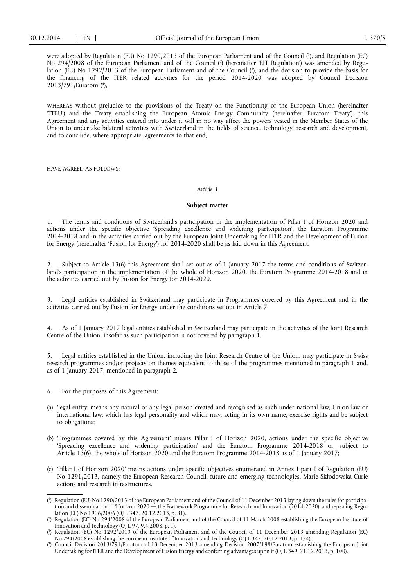were adopted by Regulation (EU) No 1290/2013 of the European Parliament and of the Council ( 1 ), and Regulation (EC) No 294/2008 of the European Parliament and of the Council ( 2 ) (hereinafter 'EIT Regulation') was amended by Regulation (EU) No 1292/2013 of the European Parliament and of the Council ( 3 ), and the decision to provide the basis for the financing of the ITER related activities for the period 2014-2020 was adopted by Council Decision 2013/791/Euratom ( 4 ),

WHEREAS without prejudice to the provisions of the Treaty on the Functioning of the European Union (hereinafter 'TFEU') and the Treaty establishing the European Atomic Energy Community (hereinafter 'Euratom Treaty'), this Agreement and any activities entered into under it will in no way affect the powers vested in the Member States of the Union to undertake bilateral activities with Switzerland in the fields of science, technology, research and development, and to conclude, where appropriate, agreements to that end,

HAVE AGREED AS FOLLOWS:

### *Article 1*

### **Subject matter**

1. The terms and conditions of Switzerland's participation in the implementation of Pillar I of Horizon 2020 and actions under the specific objective 'Spreading excellence and widening participation', the Euratom Programme 2014-2018 and in the activities carried out by the European Joint Undertaking for ITER and the Development of Fusion for Energy (hereinafter 'Fusion for Energy') for 2014-2020 shall be as laid down in this Agreement.

2. Subject to Article 13(6) this Agreement shall set out as of 1 January 2017 the terms and conditions of Switzerland's participation in the implementation of the whole of Horizon 2020, the Euratom Programme 2014-2018 and in the activities carried out by Fusion for Energy for 2014-2020.

Legal entities established in Switzerland may participate in Programmes covered by this Agreement and in the activities carried out by Fusion for Energy under the conditions set out in Article 7.

4. As of 1 January 2017 legal entities established in Switzerland may participate in the activities of the Joint Research Centre of the Union, insofar as such participation is not covered by paragraph 1.

5. Legal entities established in the Union, including the Joint Research Centre of the Union, may participate in Swiss research programmes and/or projects on themes equivalent to those of the programmes mentioned in paragraph 1 and, as of 1 January 2017, mentioned in paragraph 2.

- 6. For the purposes of this Agreement:
- (a) 'legal entity' means any natural or any legal person created and recognised as such under national law, Union law or international law, which has legal personality and which may, acting in its own name, exercise rights and be subject to obligations;
- (b) 'Programmes covered by this Agreement' means Pillar I of Horizon 2020, actions under the specific objective 'Spreading excellence and widening participation' and the Euratom Programme 2014-2018 or, subject to Article 13(6), the whole of Horizon 2020 and the Euratom Programme 2014-2018 as of 1 January 2017;
- (c) 'Pillar I of Horizon 2020' means actions under specific objectives enumerated in Annex I part I of Regulation (EU) No 1291/2013, namely the European Research Council, future and emerging technologies, Marie Skłodowska-Curie actions and research infrastructures.

<sup>(</sup> 1 ) Regulation (EU) No 1290/2013 of the European Parliament and of the Council of 11 December 2013 laying down the rules for participation and dissemination in 'Horizon 2020 — the Framework Programme for Research and Innovation (2014-2020)' and repealing Regulation (EC) No 1906/2006 (OJ L 347, 20.12.2013, p. 81).

<sup>(</sup> 2 ) Regulation (EC) No 294/2008 of the European Parliament and of the Council of 11 March 2008 establishing the European Institute of Innovation and Technology (OJ L 97, 9.4.2008, p. 1).

<sup>(</sup> 3 ) Regulation (EU) No 1292/2013 of the European Parliament and of the Council of 11 December 2013 amending Regulation (EC) No 294/2008 establishing the European Institute of Innovation and Technology (OJ L 347, 20.12.2013, p. 174).

<sup>(</sup> 4 ) Council Decision 2013/791/Euratom of 13 December 2013 amending Decision 2007/198/Euratom establishing the European Joint Undertaking for ITER and the Development of Fusion Energy and conferring advantages upon it (OJ L 349, 21.12.2013, p. 100).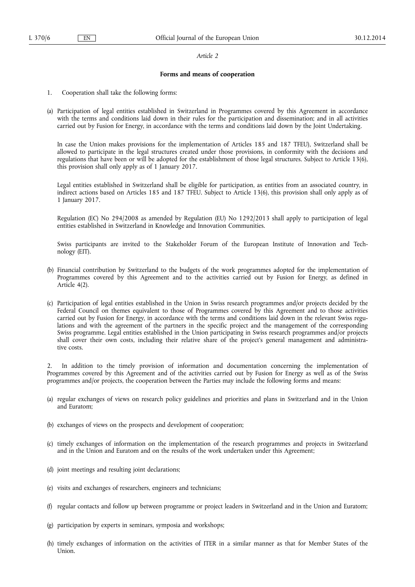## **Forms and means of cooperation**

- 1. Cooperation shall take the following forms:
- (a) Participation of legal entities established in Switzerland in Programmes covered by this Agreement in accordance with the terms and conditions laid down in their rules for the participation and dissemination; and in all activities carried out by Fusion for Energy, in accordance with the terms and conditions laid down by the Joint Undertaking.

In case the Union makes provisions for the implementation of Articles 185 and 187 TFEU), Switzerland shall be allowed to participate in the legal structures created under those provisions, in conformity with the decisions and regulations that have been or will be adopted for the establishment of those legal structures. Subject to Article 13(6), this provision shall only apply as of 1 January 2017.

Legal entities established in Switzerland shall be eligible for participation, as entities from an associated country, in indirect actions based on Articles 185 and 187 TFEU. Subject to Article 13(6), this provision shall only apply as of 1 January 2017.

Regulation (EC) No 294/2008 as amended by Regulation (EU) No 1292/2013 shall apply to participation of legal entities established in Switzerland in Knowledge and Innovation Communities.

Swiss participants are invited to the Stakeholder Forum of the European Institute of Innovation and Technology (EIT).

- (b) Financial contribution by Switzerland to the budgets of the work programmes adopted for the implementation of Programmes covered by this Agreement and to the activities carried out by Fusion for Energy, as defined in Article 4(2).
- (c) Participation of legal entities established in the Union in Swiss research programmes and/or projects decided by the Federal Council on themes equivalent to those of Programmes covered by this Agreement and to those activities carried out by Fusion for Energy, in accordance with the terms and conditions laid down in the relevant Swiss regulations and with the agreement of the partners in the specific project and the management of the corresponding Swiss programme. Legal entities established in the Union participating in Swiss research programmes and/or projects shall cover their own costs, including their relative share of the project's general management and administrative costs.

In addition to the timely provision of information and documentation concerning the implementation of Programmes covered by this Agreement and of the activities carried out by Fusion for Energy as well as of the Swiss programmes and/or projects, the cooperation between the Parties may include the following forms and means:

- (a) regular exchanges of views on research policy guidelines and priorities and plans in Switzerland and in the Union and Euratom;
- (b) exchanges of views on the prospects and development of cooperation;
- (c) timely exchanges of information on the implementation of the research programmes and projects in Switzerland and in the Union and Euratom and on the results of the work undertaken under this Agreement;
- (d) joint meetings and resulting joint declarations;
- (e) visits and exchanges of researchers, engineers and technicians;
- (f) regular contacts and follow up between programme or project leaders in Switzerland and in the Union and Euratom;
- (g) participation by experts in seminars, symposia and workshops;
- (h) timely exchanges of information on the activities of ITER in a similar manner as that for Member States of the Union.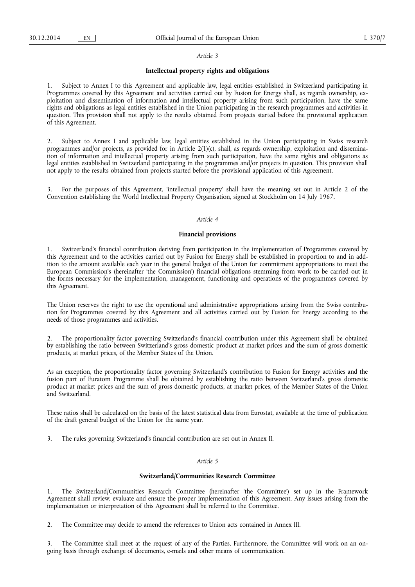### **Intellectual property rights and obligations**

Subject to Annex I to this Agreement and applicable law, legal entities established in Switzerland participating in Programmes covered by this Agreement and activities carried out by Fusion for Energy shall, as regards ownership, exploitation and dissemination of information and intellectual property arising from such participation, have the same rights and obligations as legal entities established in the Union participating in the research programmes and activities in question. This provision shall not apply to the results obtained from projects started before the provisional application of this Agreement.

2. Subject to Annex I and applicable law, legal entities established in the Union participating in Swiss research programmes and/or projects, as provided for in Article 2(1)(c), shall, as regards ownership, exploitation and dissemination of information and intellectual property arising from such participation, have the same rights and obligations as legal entities established in Switzerland participating in the programmes and/or projects in question. This provision shall not apply to the results obtained from projects started before the provisional application of this Agreement.

3. For the purposes of this Agreement, 'intellectual property' shall have the meaning set out in Article 2 of the Convention establishing the World Intellectual Property Organisation, signed at Stockholm on 14 July 1967.

## *Article 4*

### **Financial provisions**

1. Switzerland's financial contribution deriving from participation in the implementation of Programmes covered by this Agreement and to the activities carried out by Fusion for Energy shall be established in proportion to and in addition to the amount available each year in the general budget of the Union for commitment appropriations to meet the European Commission's (hereinafter 'the Commission') financial obligations stemming from work to be carried out in the forms necessary for the implementation, management, functioning and operations of the programmes covered by this Agreement.

The Union reserves the right to use the operational and administrative appropriations arising from the Swiss contribution for Programmes covered by this Agreement and all activities carried out by Fusion for Energy according to the needs of those programmes and activities.

2. The proportionality factor governing Switzerland's financial contribution under this Agreement shall be obtained by establishing the ratio between Switzerland's gross domestic product at market prices and the sum of gross domestic products, at market prices, of the Member States of the Union.

As an exception, the proportionality factor governing Switzerland's contribution to Fusion for Energy activities and the fusion part of Euratom Programme shall be obtained by establishing the ratio between Switzerland's gross domestic product at market prices and the sum of gross domestic products, at market prices, of the Member States of the Union and Switzerland.

These ratios shall be calculated on the basis of the latest statistical data from Eurostat, available at the time of publication of the draft general budget of the Union for the same year.

3. The rules governing Switzerland's financial contribution are set out in Annex II.

### *Article 5*

## **Switzerland/Communities Research Committee**

1. The Switzerland/Communities Research Committee (hereinafter 'the Committee') set up in the Framework Agreement shall review, evaluate and ensure the proper implementation of this Agreement. Any issues arising from the implementation or interpretation of this Agreement shall be referred to the Committee.

2. The Committee may decide to amend the references to Union acts contained in Annex III.

The Committee shall meet at the request of any of the Parties. Furthermore, the Committee will work on an ongoing basis through exchange of documents, e-mails and other means of communication.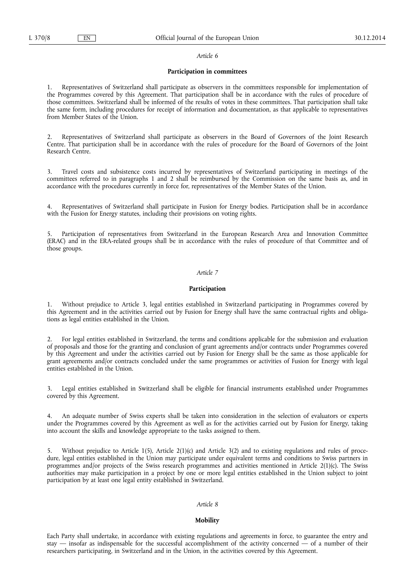## **Participation in committees**

1. Representatives of Switzerland shall participate as observers in the committees responsible for implementation of the Programmes covered by this Agreement. That participation shall be in accordance with the rules of procedure of those committees. Switzerland shall be informed of the results of votes in these committees. That participation shall take the same form, including procedures for receipt of information and documentation, as that applicable to representatives from Member States of the Union.

2. Representatives of Switzerland shall participate as observers in the Board of Governors of the Joint Research Centre. That participation shall be in accordance with the rules of procedure for the Board of Governors of the Joint Research Centre.

3. Travel costs and subsistence costs incurred by representatives of Switzerland participating in meetings of the committees referred to in paragraphs 1 and 2 shall be reimbursed by the Commission on the same basis as, and in accordance with the procedures currently in force for, representatives of the Member States of the Union.

Representatives of Switzerland shall participate in Fusion for Energy bodies. Participation shall be in accordance with the Fusion for Energy statutes, including their provisions on voting rights.

5. Participation of representatives from Switzerland in the European Research Area and Innovation Committee (ERAC) and in the ERA-related groups shall be in accordance with the rules of procedure of that Committee and of those groups.

# *Article 7*

# **Participation**

1. Without prejudice to Article 3, legal entities established in Switzerland participating in Programmes covered by this Agreement and in the activities carried out by Fusion for Energy shall have the same contractual rights and obligations as legal entities established in the Union.

2. For legal entities established in Switzerland, the terms and conditions applicable for the submission and evaluation of proposals and those for the granting and conclusion of grant agreements and/or contracts under Programmes covered by this Agreement and under the activities carried out by Fusion for Energy shall be the same as those applicable for grant agreements and/or contracts concluded under the same programmes or activities of Fusion for Energy with legal entities established in the Union.

Legal entities established in Switzerland shall be eligible for financial instruments established under Programmes covered by this Agreement.

4. An adequate number of Swiss experts shall be taken into consideration in the selection of evaluators or experts under the Programmes covered by this Agreement as well as for the activities carried out by Fusion for Energy, taking into account the skills and knowledge appropriate to the tasks assigned to them.

5. Without prejudice to Article 1(5), Article 2(1)(c) and Article 3(2) and to existing regulations and rules of procedure, legal entities established in the Union may participate under equivalent terms and conditions to Swiss partners in programmes and/or projects of the Swiss research programmes and activities mentioned in Article 2(1)(c). The Swiss authorities may make participation in a project by one or more legal entities established in the Union subject to joint participation by at least one legal entity established in Switzerland.

## *Article 8*

#### **Mobility**

Each Party shall undertake, in accordance with existing regulations and agreements in force, to guarantee the entry and stay — insofar as indispensable for the successful accomplishment of the activity concerned — of a number of their researchers participating, in Switzerland and in the Union, in the activities covered by this Agreement.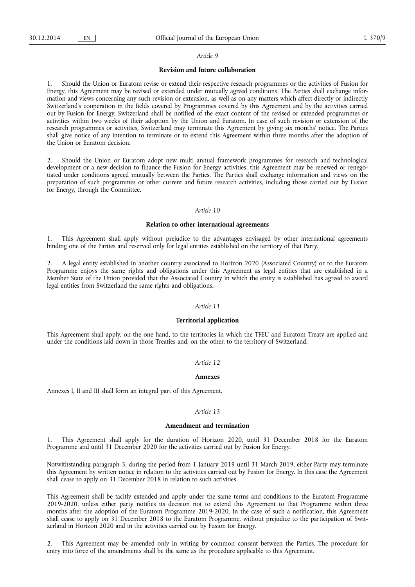#### **Revision and future collaboration**

1. Should the Union or Euratom revise or extend their respective research programmes or the activities of Fusion for Energy, this Agreement may be revised or extended under mutually agreed conditions. The Parties shall exchange information and views concerning any such revision or extension, as well as on any matters which affect directly or indirectly Switzerland's cooperation in the fields covered by Programmes covered by this Agreement and by the activities carried out by Fusion for Energy. Switzerland shall be notified of the exact content of the revised or extended programmes or activities within two weeks of their adoption by the Union and Euratom. In case of such revision or extension of the research programmes or activities, Switzerland may terminate this Agreement by giving six months' notice. The Parties shall give notice of any intention to terminate or to extend this Agreement within three months after the adoption of the Union or Euratom decision.

2. Should the Union or Euratom adopt new multi annual framework programmes for research and technological development or a new decision to finance the Fusion for Energy activities, this Agreement may be renewed or renegotiated under conditions agreed mutually between the Parties. The Parties shall exchange information and views on the preparation of such programmes or other current and future research activities, including those carried out by Fusion for Energy, through the Committee.

#### *Article 10*

### **Relation to other international agreements**

1. This Agreement shall apply without prejudice to the advantages envisaged by other international agreements binding one of the Parties and reserved only for legal entities established on the territory of that Party.

2. A legal entity established in another country associated to Horizon 2020 (Associated Country) or to the Euratom Programme enjoys the same rights and obligations under this Agreement as legal entities that are established in a Member State of the Union provided that the Associated Country in which the entity is established has agreed to award legal entities from Switzerland the same rights and obligations.

# *Article 11*

### **Territorial application**

This Agreement shall apply, on the one hand, to the territories in which the TFEU and Euratom Treaty are applied and under the conditions laid down in those Treaties and, on the other, to the territory of Switzerland.

## *Article 12*

#### **Annexes**

Annexes I, II and III shall form an integral part of this Agreement.

## *Article 13*

#### **Amendment and termination**

1. This Agreement shall apply for the duration of Horizon 2020, until 31 December 2018 for the Euratom Programme and until 31 December 2020 for the activities carried out by Fusion for Energy.

Notwithstanding paragraph 3, during the period from 1 January 2019 until 31 March 2019, either Party may terminate this Agreement by written notice in relation to the activities carried out by Fusion for Energy. In this case the Agreement shall cease to apply on 31 December 2018 in relation to such activities.

This Agreement shall be tacitly extended and apply under the same terms and conditions to the Euratom Programme 2019-2020, unless either party notifies its decision not to extend this Agreement to that Programme within three months after the adoption of the Euratom Programme 2019-2020. In the case of such a notification, this Agreement shall cease to apply on 31 December 2018 to the Euratom Programme, without prejudice to the participation of Switzerland in Horizon 2020 and in the activities carried out by Fusion for Energy.

2. This Agreement may be amended only in writing by common consent between the Parties. The procedure for entry into force of the amendments shall be the same as the procedure applicable to this Agreement.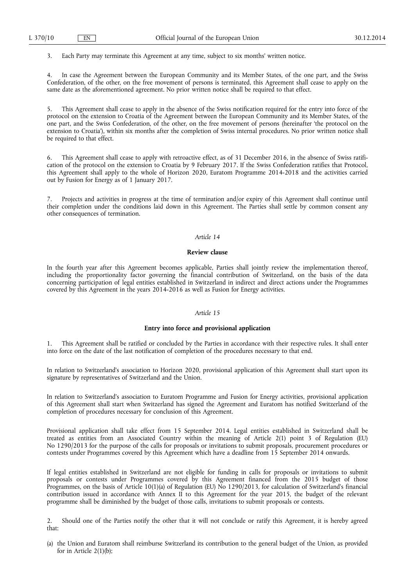3. Each Party may terminate this Agreement at any time, subject to six months' written notice.

4. In case the Agreement between the European Community and its Member States, of the one part, and the Swiss Confederation, of the other, on the free movement of persons is terminated, this Agreement shall cease to apply on the same date as the aforementioned agreement. No prior written notice shall be required to that effect.

5. This Agreement shall cease to apply in the absence of the Swiss notification required for the entry into force of the protocol on the extension to Croatia of the Agreement between the European Community and its Member States, of the one part, and the Swiss Confederation, of the other, on the free movement of persons (hereinafter 'the protocol on the extension to Croatia'), within six months after the completion of Swiss internal procedures. No prior written notice shall be required to that effect.

6. This Agreement shall cease to apply with retroactive effect, as of 31 December 2016, in the absence of Swiss ratification of the protocol on the extension to Croatia by 9 February 2017. If the Swiss Confederation ratifies that Protocol, this Agreement shall apply to the whole of Horizon 2020, Euratom Programme 2014-2018 and the activities carried out by Fusion for Energy as of 1 January 2017.

Projects and activities in progress at the time of termination and/or expiry of this Agreement shall continue until their completion under the conditions laid down in this Agreement. The Parties shall settle by common consent any other consequences of termination.

#### *Article 14*

#### **Review clause**

In the fourth year after this Agreement becomes applicable, Parties shall jointly review the implementation thereof, including the proportionality factor governing the financial contribution of Switzerland, on the basis of the data concerning participation of legal entities established in Switzerland in indirect and direct actions under the Programmes covered by this Agreement in the years 2014-2016 as well as Fusion for Energy activities.

## *Article 15*

#### **Entry into force and provisional application**

1. This Agreement shall be ratified or concluded by the Parties in accordance with their respective rules. It shall enter into force on the date of the last notification of completion of the procedures necessary to that end.

In relation to Switzerland's association to Horizon 2020, provisional application of this Agreement shall start upon its signature by representatives of Switzerland and the Union.

In relation to Switzerland's association to Euratom Programme and Fusion for Energy activities, provisional application of this Agreement shall start when Switzerland has signed the Agreement and Euratom has notified Switzerland of the completion of procedures necessary for conclusion of this Agreement.

Provisional application shall take effect from 15 September 2014. Legal entities established in Switzerland shall be treated as entities from an Associated Country within the meaning of Article 2(1) point 3 of Regulation (EU) No 1290/2013 for the purpose of the calls for proposals or invitations to submit proposals, procurement procedures or contests under Programmes covered by this Agreement which have a deadline from 15 September 2014 onwards.

If legal entities established in Switzerland are not eligible for funding in calls for proposals or invitations to submit proposals or contests under Programmes covered by this Agreement financed from the 2015 budget of those Programmes, on the basis of Article 10(1)(a) of Regulation (EU) No 1290/2013, for calculation of Switzerland's financial contribution issued in accordance with Annex II to this Agreement for the year 2015, the budget of the relevant programme shall be diminished by the budget of those calls, invitations to submit proposals or contests.

2. Should one of the Parties notify the other that it will not conclude or ratify this Agreement, it is hereby agreed that:

(a) the Union and Euratom shall reimburse Switzerland its contribution to the general budget of the Union, as provided for in Article 2(1)(b);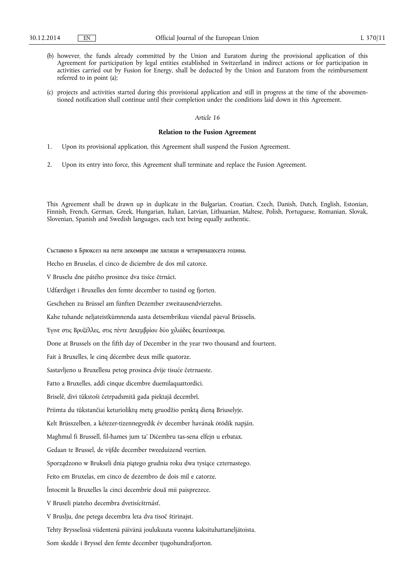- (b) however, the funds already committed by the Union and Euratom during the provisional application of this Agreement for participation by legal entities established in Switzerland in indirect actions or for participation in activities carried out by Fusion for Energy, shall be deducted by the Union and Euratom from the reimbursement referred to in point (a);
- (c) projects and activities started during this provisional application and still in progress at the time of the abovementioned notification shall continue until their completion under the conditions laid down in this Agreement.

### **Relation to the Fusion Agreement**

- 1. Upon its provisional application, this Agreement shall suspend the Fusion Agreement.
- 2. Upon its entry into force, this Agreement shall terminate and replace the Fusion Agreement.

This Agreement shall be drawn up in duplicate in the Bulgarian, Croatian, Czech, Danish, Dutch, English, Estonian, Finnish, French, German, Greek, Hungarian, Italian, Latvian, Lithuanian, Maltese, Polish, Portuguese, Romanian, Slovak, Slovenian, Spanish and Swedish languages, each text being equally authentic.

Съставено в Брюксел на пети декември две хиляди и четиринадесета година. Hecho en Bruselas, el cinco de diciembre de dos mil catorce. V Bruselu dne pátého prosince dva tisíce čtrnáct. Udfærdiget i Bruxelles den femte december to tusind og fjorten. Geschehen zu Brüssel am fünften Dezember zweitausendvierzehn. Kahe tuhande neljateistkümnenda aasta detsembrikuu viiendal päeval Brüsselis. Έγινε στις Βρυξέλλες, στις πέντε Δεκεμβρίου δύο χιλιάδες δεκατέσσερα. Done at Brussels on the fifth day of December in the year two thousand and fourteen. Fait à Bruxelles, le cinq décembre deux mille quatorze. Sastavljeno u Bruxellesu petog prosinca dvije tisuće četrnaeste. Fatto a Bruxelles, addì cinque dicembre duemilaquattordici. Briselē, divi tūkstoši četrpadsmitā gada piektajā decembrī. Priimta du tūkstančiai keturioliktų metų gruodžio penktą dieną Briuselyje. Kelt Brüsszelben, a kétezer-tizennegyedik év december havának ötödik napján. Magħmul fi Brussell, fil-ħames jum ta' Diċembru tas-sena elfejn u erbatax. Gedaan te Brussel, de vijfde december tweeduizend veertien. Sporządzono w Brukseli dnia piątego grudnia roku dwa tysiące czternastego. Feito em Bruxelas, em cinco de dezembro de dois mil e catorze. Întocmit la Bruxelles la cinci decembrie două mii paisprezece. V Bruseli piateho decembra dvetisícštrnásť. V Bruslju, dne petega decembra leta dva tisoč štirinajst. Tehty Brysselissä viidentenä päivänä joulukuuta vuonna kaksituhattaneljätoista. Som skedde i Bryssel den femte december tjugohundrafjorton.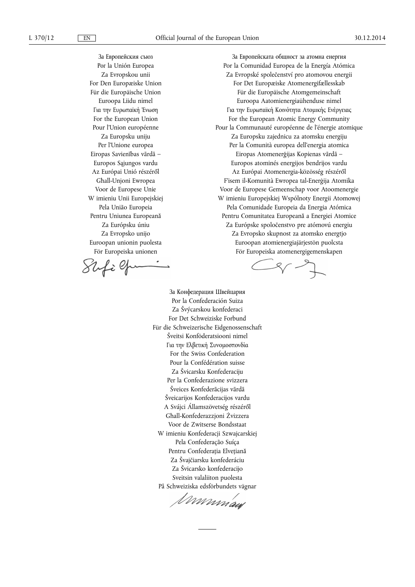За Европейския съюз Рог la Unión Europea Za Evropskou unii For Den Europæiske Union Für die Europäische Union Euroopa Liidu nimel Για την Ευρωπαϊκή Ένωση For the European Union Pour l'Union européenne Za Europsku uniju Per l'Unione europea Eiropas Savienības vārdā – Europos Sąjungos vardu Az Európai Unió részéről Għall-Unjoni Ewropea Voor de Europese Unie W imieniu Unii Europejskiej Pela União Europeia Pentru Uniunea Europeană Za Európsku úniu Za Evropsko unijo Euroopan unionin puolesta För Europeiska unionen

Shfilp

За Европейската общност за атомна енергия Por la Comunidad Europea de la Energía Atómica Za Evropské společenství pro atomovou energii For Det Europæiske Atomenergifællesskab Für die Europäische Atomgemeinschaft Euroopa Aatomienergiaühenduse nimel Για την Ευρωπαϊκή Κοινότητα Ατομικής Ενέργειας For the European Atomic Energy Community Pour la Communauté européenne de l'énergie atomique Za Europsku zajednicu za atomsku energiju Per la Comunità europea dell'energia atomica Eiropas Atomenerģijas Kopienas vārdā – Europos atominés energijos bendrijos vardu Az Európai Atomenergia-közösség részéről F'isem il-Komunità Ewropea tal-Enerġija Atomika Voor de Europese Gemeenschap voor Atoomenergie W imieniu Europejskiej Wspólnoty Energii Atomowej Pela Comunidade Europeia da Energia Atómica Pentru Comunitatea Europeană a Energiei Atomice Za Európske spoločenstvo pre atómovú energiu Za Evropsko skupnost za atomsko energtjo Euroopan atomienergiajärjestön puolcsta För Europeiska atomenergigemenskapen

 $\frac{1}{2}$ 

За Конфедерация Швейцария Por la Confederación Suiza Za Švýcarskou konfederaci For Det Schweiziske Forbund Für die Schweizerische Eidgenossenschaft Šveitsi Konföderatsiooni nimel Για την Ελβετική Συνομοσπονδία For the Swiss Confederation Pour la Confédération suisse Za Švicarsku Konfederaciju Per la Confederazione svizzera Šveices Konfederācijas vārdā Šveicarijos Konfederacijos vardu A Svájci Államszövetség részéről Għall-Konfederazzjoni Żvizzera Voor de Zwitserse Bondsstaat W imieniu Konfederacji Szwajcarskiej Pela Confederação Suíça Pentru Confederația Elvețiană Za Švajčiarsku konfederáciu Za Švicarsko konfederacijo Sveitsin valaliiton puolesta

På Schweiziska edsförbundets vägnar<br>*I DODDDDA QUA*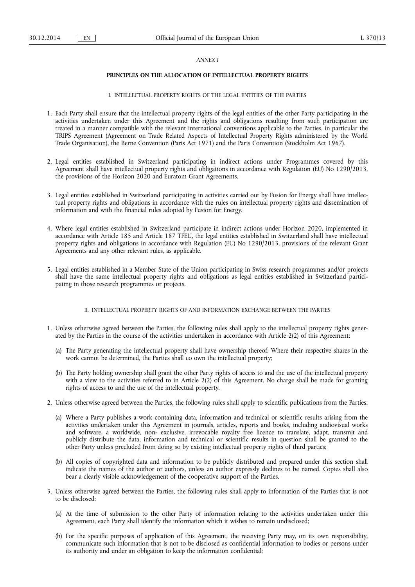### *ANNEX I*

# **PRINCIPLES ON THE ALLOCATION OF INTELLECTUAL PROPERTY RIGHTS**

# I. INTELLECTUAL PROPERTY RIGHTS OF THE LEGAL ENTITIES OF THE PARTIES

- 1. Each Party shall ensure that the intellectual property rights of the legal entities of the other Party participating in the activities undertaken under this Agreement and the rights and obligations resulting from such participation are treated in a manner compatible with the relevant international conventions applicable to the Parties, in particular the TRIPS Agreement (Agreement on Trade Related Aspects of Intellectual Property Rights administered by the World Trade Organisation), the Berne Convention (Paris Act 1971) and the Paris Convention (Stockholm Act 1967).
- 2. Legal entities established in Switzerland participating in indirect actions under Programmes covered by this Agreement shall have intellectual property rights and obligations in accordance with Regulation (EU) No 1290/2013, the provisions of the Horizon 2020 and Euratom Grant Agreements.
- 3. Legal entities established in Switzerland participating in activities carried out by Fusion for Energy shall have intellectual property rights and obligations in accordance with the rules on intellectual property rights and dissemination of information and with the financial rules adopted by Fusion for Energy.
- 4. Where legal entities established in Switzerland participate in indirect actions under Horizon 2020, implemented in accordance with Article 185 and Article 187 TFEU, the legal entities established in Switzerland shall have intellectual property rights and obligations in accordance with Regulation (EU) No 1290/2013, provisions of the relevant Grant Agreements and any other relevant rules, as applicable.
- 5. Legal entities established in a Member State of the Union participating in Swiss research programmes and/or projects shall have the same intellectual property rights and obligations as legal entities established in Switzerland participating in those research programmes or projects.

## II. INTELLECTUAL PROPERTY RIGHTS OF AND INFORMATION EXCHANGE BETWEEN THE PARTIES

- 1. Unless otherwise agreed between the Parties, the following rules shall apply to the intellectual property rights generated by the Parties in the course of the activities undertaken in accordance with Article 2(2) of this Agreement:
	- (a) The Party generating the intellectual property shall have ownership thereof. Where their respective shares in the work cannot be determined, the Parties shall co own the intellectual property;
	- (b) The Party holding ownership shall grant the other Party rights of access to and the use of the intellectual property with a view to the activities referred to in Article 2(2) of this Agreement. No charge shall be made for granting rights of access to and the use of the intellectual property.
- 2. Unless otherwise agreed between the Parties, the following rules shall apply to scientific publications from the Parties:
	- (a) Where a Party publishes a work containing data, information and technical or scientific results arising from the activities undertaken under this Agreement in journals, articles, reports and books, including audiovisual works and software, a worldwide, non- exclusive, irrevocable royalty free licence to translate, adapt, transmit and publicly distribute the data, information and technical or scientific results in question shall be granted to the other Party unless precluded from doing so by existing intellectual property rights of third parties;
	- (b) All copies of copyrighted data and information to be publicly distributed and prepared under this section shall indicate the names of the author or authors, unless an author expressly declines to be named. Copies shall also bear a clearly visible acknowledgement of the cooperative support of the Parties.
- 3. Unless otherwise agreed between the Parties, the following rules shall apply to information of the Parties that is not to be disclosed:
	- (a) At the time of submission to the other Party of information relating to the activities undertaken under this Agreement, each Party shall identify the information which it wishes to remain undisclosed;
	- (b) For the specific purposes of application of this Agreement, the receiving Party may, on its own responsibility, communicate such information that is not to be disclosed as confidential information to bodies or persons under its authority and under an obligation to keep the information confidential;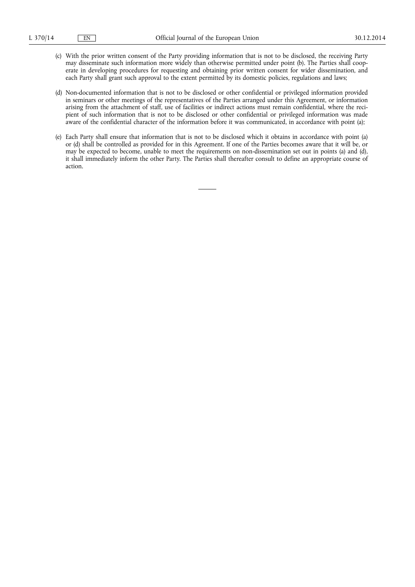- (c) With the prior written consent of the Party providing information that is not to be disclosed, the receiving Party may disseminate such information more widely than otherwise permitted under point (b). The Parties shall cooperate in developing procedures for requesting and obtaining prior written consent for wider dissemination, and each Party shall grant such approval to the extent permitted by its domestic policies, regulations and laws;
- (d) Non-documented information that is not to be disclosed or other confidential or privileged information provided in seminars or other meetings of the representatives of the Parties arranged under this Agreement, or information arising from the attachment of staff, use of facilities or indirect actions must remain confidential, where the recipient of such information that is not to be disclosed or other confidential or privileged information was made aware of the confidential character of the information before it was communicated, in accordance with point (a);
- (e) Each Party shall ensure that information that is not to be disclosed which it obtains in accordance with point (a) or (d) shall be controlled as provided for in this Agreement. If one of the Parties becomes aware that it will be, or may be expected to become, unable to meet the requirements on non-dissemination set out in points (a) and (d), it shall immediately inform the other Party. The Parties shall thereafter consult to define an appropriate course of action.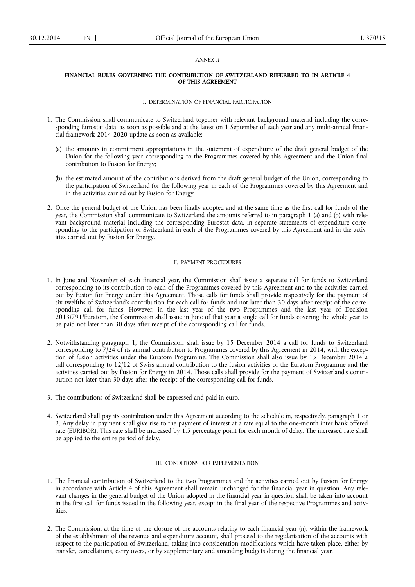### *ANNEX II*

### **FINANCIAL RULES GOVERNING THE CONTRIBUTION OF SWITZERLAND REFERRED TO IN ARTICLE 4 OF THIS AGREEMENT**

#### I. DETERMINATION OF FINANCIAL PARTICIPATION

- 1. The Commission shall communicate to Switzerland together with relevant background material including the corresponding Eurostat data, as soon as possible and at the latest on 1 September of each year and any multi-annual financial framework 2014-2020 update as soon as available:
	- (a) the amounts in commitment appropriations in the statement of expenditure of the draft general budget of the Union for the following year corresponding to the Programmes covered by this Agreement and the Union final contribution to Fusion for Energy;
	- (b) the estimated amount of the contributions derived from the draft general budget of the Union, corresponding to the participation of Switzerland for the following year in each of the Programmes covered by this Agreement and in the activities carried out by Fusion for Energy.
- 2. Once the general budget of the Union has been finally adopted and at the same time as the first call for funds of the year, the Commission shall communicate to Switzerland the amounts referred to in paragraph 1 (a) and (b) with relevant background material including the corresponding Eurostat data, in separate statements of expenditure corresponding to the participation of Switzerland in each of the Programmes covered by this Agreement and in the activities carried out by Fusion for Energy.

### II. PAYMENT PROCEDURES

- 1. In June and November of each financial year, the Commission shall issue a separate call for funds to Switzerland corresponding to its contribution to each of the Programmes covered by this Agreement and to the activities carried out by Fusion for Energy under this Agreement. Those calls for funds shall provide respectively for the payment of six twelfths of Switzerland's contribution for each call for funds and not later than 30 days after receipt of the corresponding call for funds. However, in the last year of the two Programmes and the last year of Decision 2013/791/Euratom, the Commission shall issue in June of that year a single call for funds covering the whole year to be paid not later than 30 days after receipt of the corresponding call for funds.
- 2. Notwithstanding paragraph 1, the Commission shall issue by 15 December 2014 a call for funds to Switzerland corresponding to 7/24 of its annual contribution to Programmes covered by this Agreement in 2014, with the exception of fusion activities under the Euratom Programme. The Commission shall also issue by 15 December 2014 a call corresponding to 12/12 of Swiss annual contribution to the fusion activities of the Euratom Programme and the activities carried out by Fusion for Energy in 2014. Those calls shall provide for the payment of Switzerland's contribution not later than 30 days after the receipt of the corresponding call for funds.
- 3. The contributions of Switzerland shall be expressed and paid in euro.
- 4. Switzerland shall pay its contribution under this Agreement according to the schedule in, respectively, paragraph 1 or 2. Any delay in payment shall give rise to the payment of interest at a rate equal to the one-month inter bank offered rate (EURIBOR). This rate shall be increased by 1.5 percentage point for each month of delay. The increased rate shall be applied to the entire period of delay.

## III. CONDITIONS FOR IMPLEMENTATION

- 1. The financial contribution of Switzerland to the two Programmes and the activities carried out by Fusion for Energy in accordance with Article 4 of this Agreement shall remain unchanged for the financial year in question. Any relevant changes in the general budget of the Union adopted in the financial year in question shall be taken into account in the first call for funds issued in the following year, except in the final year of the respective Programmes and activities.
- 2. The Commission, at the time of the closure of the accounts relating to each financial year (n), within the framework of the establishment of the revenue and expenditure account, shall proceed to the regularisation of the accounts with respect to the participation of Switzerland, taking into consideration modifications which have taken place, either by transfer, cancellations, carry overs, or by supplementary and amending budgets during the financial year.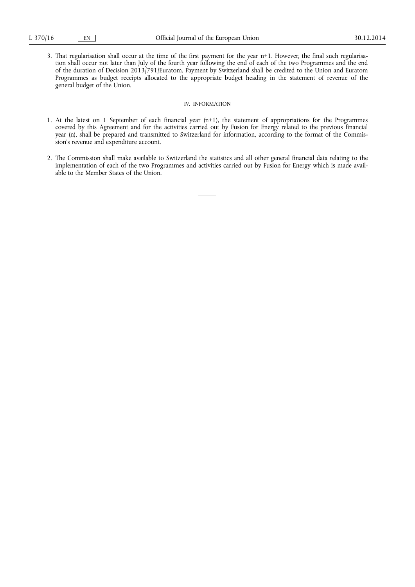3. That regularisation shall occur at the time of the first payment for the year n+1. However, the final such regularisation shall occur not later than July of the fourth year following the end of each of the two Programmes and the end of the duration of Decision 2013/791/Euratom. Payment by Switzerland shall be credited to the Union and Euratom Programmes as budget receipts allocated to the appropriate budget heading in the statement of revenue of the general budget of the Union.

## IV. INFORMATION

- 1. At the latest on 1 September of each financial year (n+1), the statement of appropriations for the Programmes covered by this Agreement and for the activities carried out by Fusion for Energy related to the previous financial year (n), shall be prepared and transmitted to Switzerland for information, according to the format of the Commission's revenue and expenditure account.
- 2. The Commission shall make available to Switzerland the statistics and all other general financial data relating to the implementation of each of the two Programmes and activities carried out by Fusion for Energy which is made available to the Member States of the Union.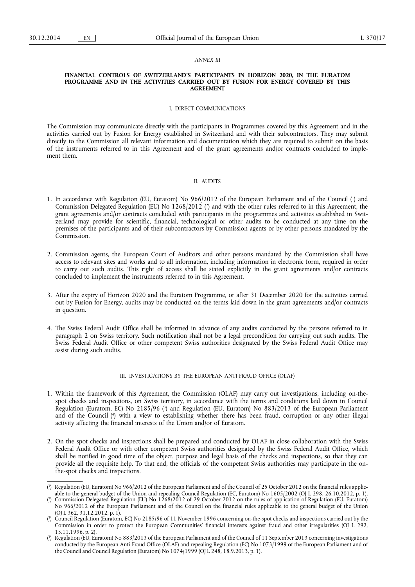#### *ANNEX III*

#### **FINANCIAL CONTROLS OF SWITZERLAND'S PARTICIPANTS IN HORIZON 2020, IN THE EURATOM PROGRAMME AND IN THE ACTIVITIES CARRIED OUT BY FUSION FOR ENERGY COVERED BY THIS AGREEMENT**

## I. DIRECT COMMUNICATIONS

The Commission may communicate directly with the participants in Programmes covered by this Agreement and in the activities carried out by Fusion for Energy established in Switzerland and with their subcontractors. They may submit directly to the Commission all relevant information and documentation which they are required to submit on the basis of the instruments referred to in this Agreement and of the grant agreements and/or contracts concluded to implement them.

### II. AUDITS

- 1. In accordance with Regulation (EU, Euratom) No 966/2012 of the European Parliament and of the Council ( 1 ) and Commission Delegated Regulation (EU) No 1268/2012 ( 2 ) and with the other rules referred to in this Agreement, the grant agreements and/or contracts concluded with participants in the programmes and activities established in Switzerland may provide for scientific, financial, technological or other audits to be conducted at any time on the premises of the participants and of their subcontractors by Commission agents or by other persons mandated by the Commission.
- 2. Commission agents, the European Court of Auditors and other persons mandated by the Commission shall have access to relevant sites and works and to all information, including information in electronic form, required in order to carry out such audits. This right of access shall be stated explicitly in the grant agreements and/or contracts concluded to implement the instruments referred to in this Agreement.
- 3. After the expiry of Horizon 2020 and the Euratom Programme, or after 31 December 2020 for the activities carried out by Fusion for Energy, audits may be conducted on the terms laid down in the grant agreements and/or contracts in question.
- 4. The Swiss Federal Audit Office shall be informed in advance of any audits conducted by the persons referred to in paragraph 2 on Swiss territory. Such notification shall not be a legal precondition for carrying out such audits. The Swiss Federal Audit Office or other competent Swiss authorities designated by the Swiss Federal Audit Office may assist during such audits.

#### III. INVESTIGATIONS BY THE EUROPEAN ANTI FRAUD OFFICE (OLAF)

- 1. Within the framework of this Agreement, the Commission (OLAF) may carry out investigations, including on-thespot checks and inspections, on Swiss territory, in accordance with the terms and conditions laid down in Council Regulation (Euratom, EC) No 2185/96 ( 3 ) and Regulation (EU, Euratom) No 883/2013 of the European Parliament and of the Council ( 4 ) with a view to establishing whether there has been fraud, corruption or any other illegal activity affecting the financial interests of the Union and/or of Euratom.
- 2. On the spot checks and inspections shall be prepared and conducted by OLAF in close collaboration with the Swiss Federal Audit Office or with other competent Swiss authorities designated by the Swiss Federal Audit Office, which shall be notified in good time of the object, purpose and legal basis of the checks and inspections, so that they can provide all the requisite help. To that end, the officials of the competent Swiss authorities may participate in the onthe-spot checks and inspections.

<sup>(</sup> 1 ) Regulation (EU, Euratom) No 966/2012 of the European Parliament and of the Council of 25 October 2012 on the financial rules applicable to the general budget of the Union and repealing Council Regulation (EC, Euratom) No 1605/2002 (OJ L 298, 26.10.2012, p. 1).

<sup>(</sup> 2 ) Commission Delegated Regulation (EU) No 1268/2012 of 29 October 2012 on the rules of application of Regulation (EU, Euratom) No 966/2012 of the European Parliament and of the Council on the financial rules applicable to the general budget of the Union (OJ L 362, 31.12.2012, p. 1).

<sup>(</sup> 3 ) Council Regulation (Euratom, EC) No 2185/96 of 11 November 1996 concerning on-the-spot checks and inspections carried out by the Commission in order to protect the European Communities' financial interests against fraud and other irregularities (OJ L 292, 15.11.1996, p. 2).

<sup>(</sup> 4 ) Regulation (EU, Euratom) No 883/2013 of the European Parliament and of the Council of 11 September 2013 concerning investigations conducted by the European Anti-Fraud Office (OLAF) and repealing Regulation (EC) No 1073/1999 of the European Parliament and of the Council and Council Regulation (Euratom) No 1074/1999 (OJ L 248, 18.9.2013, p. 1).